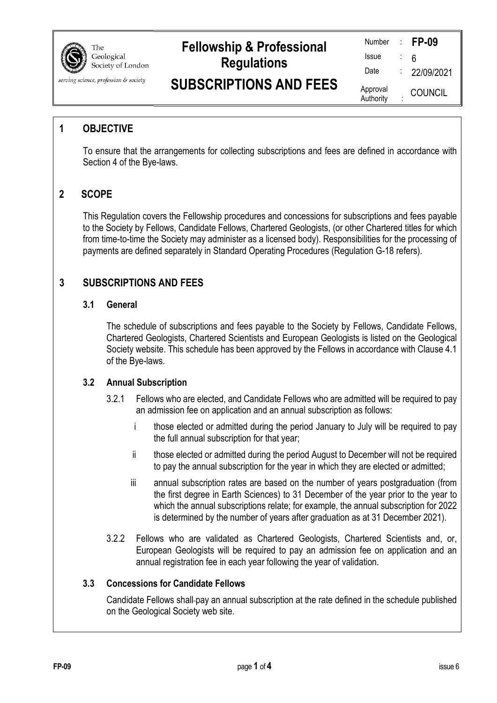

# **Fellowship & Professional Regulations**

| Number                |   | <b>FP-09</b>   |
|-----------------------|---|----------------|
| Issue                 |   | 6              |
| Date                  |   | 22/09/2021     |
| Approval<br>Authority | ٠ | <b>COUNCIL</b> |

## **SUBSCRIPTIONS AND FEES**

## **1 OBJECTIVE**

serving science, profession & society

To ensure that the arrangements for collecting subscriptions and fees are defined in accordance with Section 4 of the Bye-laws.

## **2 SCOPE**

This Regulation covers the Fellowship procedures and concessions for subscriptions and fees payable to the Society by Fellows, Candidate Fellows, Chartered Geologists, (or other Chartered titles for which from time-to-time the Society may administer as a licensed body). Responsibilities for the processing of payments are defined separately in Standard Operating Procedures (Regulation G-18 refers).

## **3 SUBSCRIPTIONS AND FEES**

#### **3.1 General**

The schedule of subscriptions and fees payable to the Society by Fellows, Candidate Fellows, Chartered Geologists, Chartered Scientists and European Geologists is listed on the Geological Society website. This schedule has been approved by the Fellows in accordance with Clause 4.1 of the Bye-laws.

#### **3.2 Annual Subscription**

- 3.2.1 Fellows who are elected, and Candidate Fellows who are admitted will be required to pay an admission fee on application and an annual subscription as follows:
	- i those elected or admitted during the period January to July will be required to pay the full annual subscription for that year;
	- ii those elected or admitted during the period August to December will not be required to pay the annual subscription for the year in which they are elected or admitted;
	- iii annual subscription rates are based on the number of years postgraduation (from the first degree in Earth Sciences) to 31 December of the year prior to the year to which the annual subscriptions relate; for example, the annual subscription for 2022 is determined by the number of years after graduation as at 31 December 2021).
- 3.2.2 Fellows who are validated as Chartered Geologists, Chartered Scientists and, or, European Geologists will be required to pay an admission fee on application and an annual registration fee in each year following the year of validation.

#### **3.3 Concessions for Candidate Fellows**

Candidate Fellows shall pay an annual subscription at the rate defined in the schedule published on the Geological Society web site.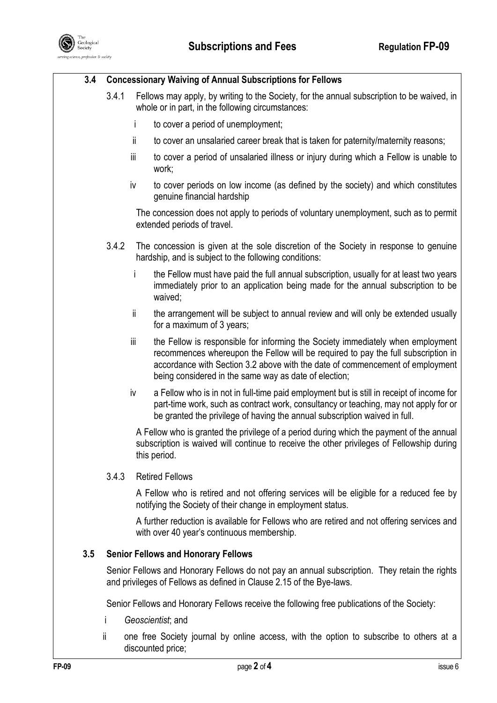

#### **3.4 Concessionary Waiving of Annual Subscriptions for Fellows**

- 3.4.1 Fellows may apply, by writing to the Society, for the annual subscription to be waived, in whole or in part, in the following circumstances:
	- i to cover a period of unemployment;
	- ii to cover an unsalaried career break that is taken for paternity/maternity reasons;
	- iii to cover a period of unsalaried illness or injury during which a Fellow is unable to work;
	- iv to cover periods on low income (as defined by the society) and which constitutes genuine financial hardship

The concession does not apply to periods of voluntary unemployment, such as to permit extended periods of travel.

- 3.4.2 The concession is given at the sole discretion of the Society in response to genuine hardship, and is subject to the following conditions:
	- i the Fellow must have paid the full annual subscription, usually for at least two years immediately prior to an application being made for the annual subscription to be waived;
	- ii the arrangement will be subject to annual review and will only be extended usually for a maximum of 3 years;
	- iii the Fellow is responsible for informing the Society immediately when employment recommences whereupon the Fellow will be required to pay the full subscription in accordance with Section 3.2 above with the date of commencement of employment being considered in the same way as date of election;
	- iv a Fellow who is in not in full-time paid employment but is still in receipt of income for part-time work, such as contract work, consultancy or teaching, may not apply for or be granted the privilege of having the annual subscription waived in full.

A Fellow who is granted the privilege of a period during which the payment of the annual subscription is waived will continue to receive the other privileges of Fellowship during this period.

#### 3.4.3 Retired Fellows

A Fellow who is retired and not offering services will be eligible for a reduced fee by notifying the Society of their change in employment status.

A further reduction is available for Fellows who are retired and not offering services and with over 40 year's continuous membership.

#### **3.5 Senior Fellows and Honorary Fellows**

Senior Fellows and Honorary Fellows do not pay an annual subscription. They retain the rights and privileges of Fellows as defined in Clause 2.15 of the Bye-laws.

Senior Fellows and Honorary Fellows receive the following free publications of the Society:

- i *Geoscientist*; and
- ii one free Society journal by online access, with the option to subscribe to others at a discounted price;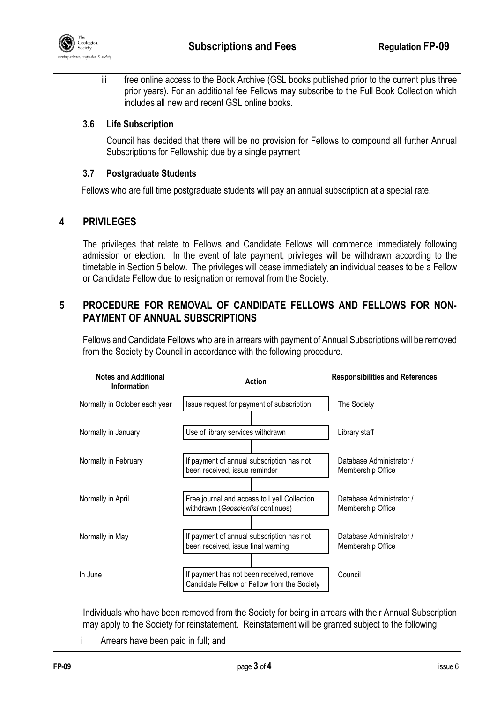

iii free online access to the Book Archive (GSL books published prior to the current plus three prior years). For an additional fee Fellows may subscribe to the Full Book Collection which includes all new and recent GSL online books.

#### **3.6 Life Subscription**

Council has decided that there will be no provision for Fellows to compound all further Annual Subscriptions for Fellowship due by a single payment

#### **3.7 Postgraduate Students**

Fellows who are full time postgraduate students will pay an annual subscription at a special rate.

## **4 PRIVILEGES**

The privileges that relate to Fellows and Candidate Fellows will commence immediately following admission or election. In the event of late payment, privileges will be withdrawn according to the timetable in Section 5 below. The privileges will cease immediately an individual ceases to be a Fellow or Candidate Fellow due to resignation or removal from the Society.

## **5 PROCEDURE FOR REMOVAL OF CANDIDATE FELLOWS AND FELLOWS FOR NON-PAYMENT OF ANNUAL SUBSCRIPTIONS**

Fellows and Candidate Fellows who are in arrears with payment of Annual Subscriptions will be removed from the Society by Council in accordance with the following procedure.



i Arrears have been paid in full; and